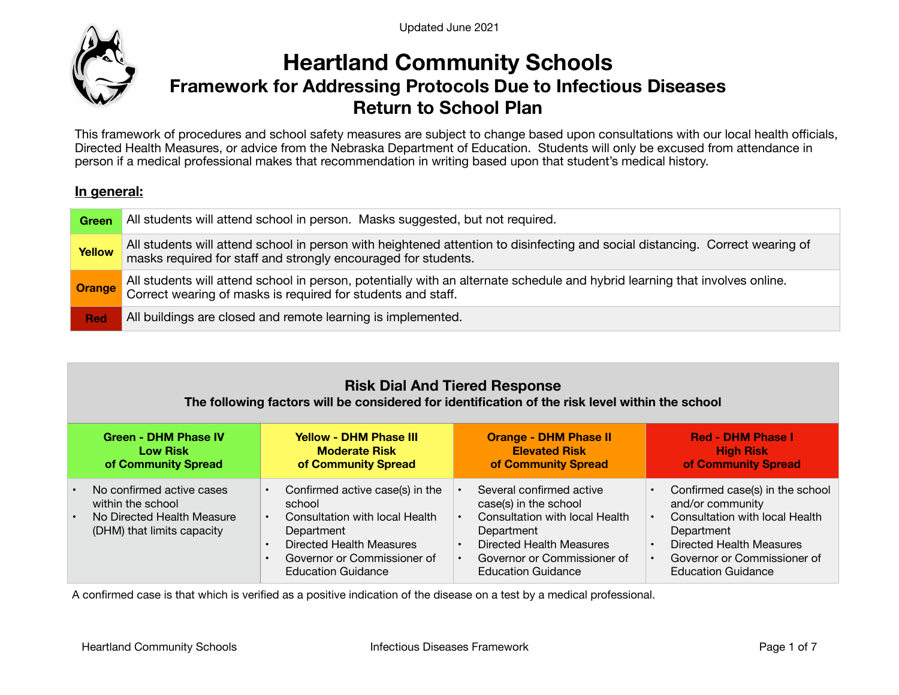Updated June 2021



## **Heartland Community Schools Framework for Addressing Protocols Due to Infectious Diseases Return to School Plan**

This framework of procedures and school safety measures are subject to change based upon consultations with our local health officials, Directed Health Measures, or advice from the Nebraska Department of Education. Students will only be excused from attendance in person if a medical professional makes that recommendation in writing based upon that student's medical history.

#### **In general:**

| Green         | All students will attend school in person. Masks suggested, but not required.                                                                                                                   |
|---------------|-------------------------------------------------------------------------------------------------------------------------------------------------------------------------------------------------|
| <b>Yellow</b> | All students will attend school in person with heightened attention to disinfecting and social distancing. Correct wearing of<br>masks required for staff and strongly encouraged for students. |
| <b>Orange</b> | All students will attend school in person, potentially with an alternate schedule and hybrid learning that involves online.<br>Correct wearing of masks is required for students and staff.     |
| <b>Red</b>    | All buildings are closed and remote learning is implemented.                                                                                                                                    |

### **Risk Dial And Tiered Response**

#### **The following factors will be considered for identification of the risk level within the school**

| <b>Green - DHM Phase IV</b><br><b>Low Risk</b><br>of Community Spread |                                                                                                            |                                     | <b>Yellow - DHM Phase III</b><br><b>Moderate Risk</b><br>of Community Spread                                                                                                      | <b>Orange - DHM Phase II</b><br><b>Elevated Risk</b><br>of Community Spread                                                                                                               | <b>Red - DHM Phase I</b><br><b>High Risk</b><br>of Community Spread                                                                                                                         |
|-----------------------------------------------------------------------|------------------------------------------------------------------------------------------------------------|-------------------------------------|-----------------------------------------------------------------------------------------------------------------------------------------------------------------------------------|-------------------------------------------------------------------------------------------------------------------------------------------------------------------------------------------|---------------------------------------------------------------------------------------------------------------------------------------------------------------------------------------------|
| $\bullet$                                                             | No confirmed active cases<br>within the school<br>No Directed Health Measure<br>(DHM) that limits capacity | $\bullet$<br>$\bullet$<br>$\bullet$ | Confirmed active case(s) in the<br>school<br>Consultation with local Health<br>Department<br>Directed Health Measures<br>Governor or Commissioner of<br><b>Education Guidance</b> | Several confirmed active<br>case(s) in the school<br>Consultation with local Health<br>Department<br>Directed Health Measures<br>Governor or Commissioner of<br><b>Education Guidance</b> | Confirmed case(s) in the school<br>and/or community<br>Consultation with local Health<br>Department<br>Directed Health Measures<br>Governor or Commissioner of<br><b>Education Guidance</b> |

A confirmed case is that which is verified as a positive indication of the disease on a test by a medical professional.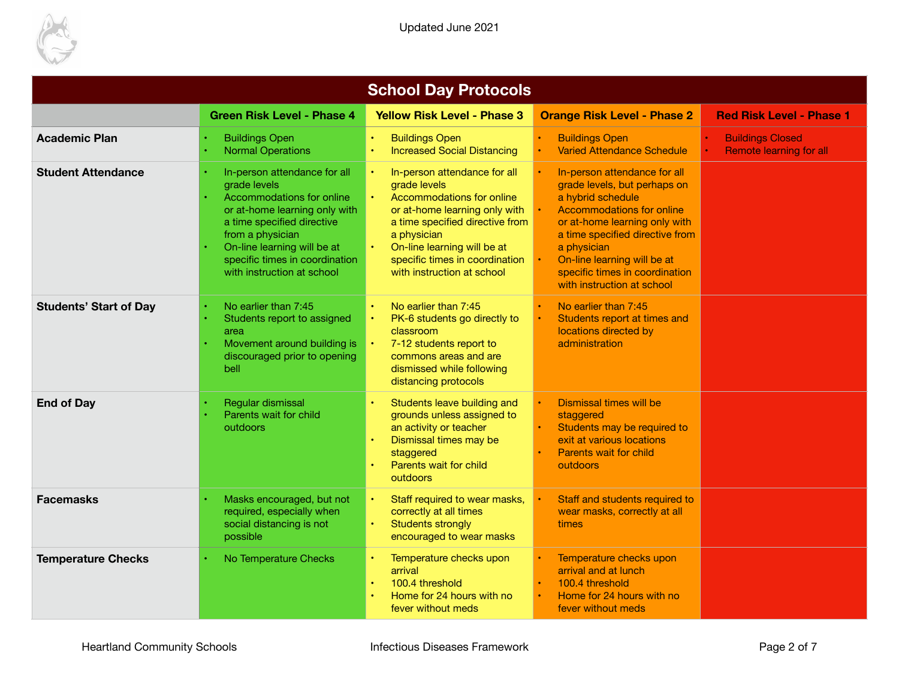

| <b>School Day Protocols</b>   |                                                                                                                                                                                                                                                             |                                                                                                                                                                                                                                                                                       |                                                                                                                                                                                                                                                                                                         |                                                           |  |  |
|-------------------------------|-------------------------------------------------------------------------------------------------------------------------------------------------------------------------------------------------------------------------------------------------------------|---------------------------------------------------------------------------------------------------------------------------------------------------------------------------------------------------------------------------------------------------------------------------------------|---------------------------------------------------------------------------------------------------------------------------------------------------------------------------------------------------------------------------------------------------------------------------------------------------------|-----------------------------------------------------------|--|--|
|                               | <b>Green Risk Level - Phase 4</b>                                                                                                                                                                                                                           | <b>Yellow Risk Level - Phase 3</b>                                                                                                                                                                                                                                                    | <b>Orange Risk Level - Phase 2</b>                                                                                                                                                                                                                                                                      | <b>Red Risk Level - Phase 1</b>                           |  |  |
| <b>Academic Plan</b>          | <b>Buildings Open</b><br><b>Normal Operations</b>                                                                                                                                                                                                           | <b>Buildings Open</b><br>$\bullet$<br><b>Increased Social Distancing</b>                                                                                                                                                                                                              | <b>Buildings Open</b><br><b>Varied Attendance Schedule</b>                                                                                                                                                                                                                                              | <b>Buildings Closed</b><br><b>Remote learning for all</b> |  |  |
| <b>Student Attendance</b>     | In-person attendance for all<br>grade levels<br>Accommodations for online<br>or at-home learning only with<br>a time specified directive<br>from a physician<br>On-line learning will be at<br>specific times in coordination<br>with instruction at school | In-person attendance for all<br>$\bullet$<br>grade levels<br>Accommodations for online<br>or at-home learning only with<br>a time specified directive from<br>a physician<br>On-line learning will be at<br>$\bullet$<br>specific times in coordination<br>with instruction at school | In-person attendance for all<br>grade levels, but perhaps on<br>a hybrid schedule<br><b>Accommodations for online</b><br>or at-home learning only with<br>a time specified directive from<br>a physician<br>On-line learning will be at<br>specific times in coordination<br>with instruction at school |                                                           |  |  |
| <b>Students' Start of Day</b> | No earlier than 7:45<br>Students report to assigned<br>area<br>Movement around building is<br>discouraged prior to opening<br>bell                                                                                                                          | No earlier than 7:45<br>PK-6 students go directly to<br>$\bullet$<br>classroom<br>7-12 students report to<br>Ŀ.<br>commons areas and are<br>dismissed while following<br>distancing protocols                                                                                         | No earlier than 7:45<br>Students report at times and<br>locations directed by<br>administration                                                                                                                                                                                                         |                                                           |  |  |
| <b>End of Day</b>             | Regular dismissal<br>Parents wait for child<br>outdoors                                                                                                                                                                                                     | Students leave building and<br>grounds unless assigned to<br>an activity or teacher<br>Dismissal times may be<br>staggered<br>Parents wait for child<br>outdoors                                                                                                                      | Dismissal times will be<br>staggered<br>Students may be required to<br>exit at various locations<br>Parents wait for child<br>outdoors                                                                                                                                                                  |                                                           |  |  |
| <b>Facemasks</b>              | Masks encouraged, but not<br>required, especially when<br>social distancing is not<br>possible                                                                                                                                                              | Staff required to wear masks,<br>$\bullet$<br>correctly at all times<br><b>Students strongly</b><br>$\bullet$<br>encouraged to wear masks                                                                                                                                             | Staff and students required to<br>wear masks, correctly at all<br>times                                                                                                                                                                                                                                 |                                                           |  |  |
| <b>Temperature Checks</b>     | No Temperature Checks                                                                                                                                                                                                                                       | Temperature checks upon<br>$\bullet$<br>arrival<br>100.4 threshold<br>$\bullet$<br>Home for 24 hours with no<br>fever without meds                                                                                                                                                    | Temperature checks upon<br>arrival and at lunch<br>100.4 threshold<br>Home for 24 hours with no<br>fever without meds                                                                                                                                                                                   |                                                           |  |  |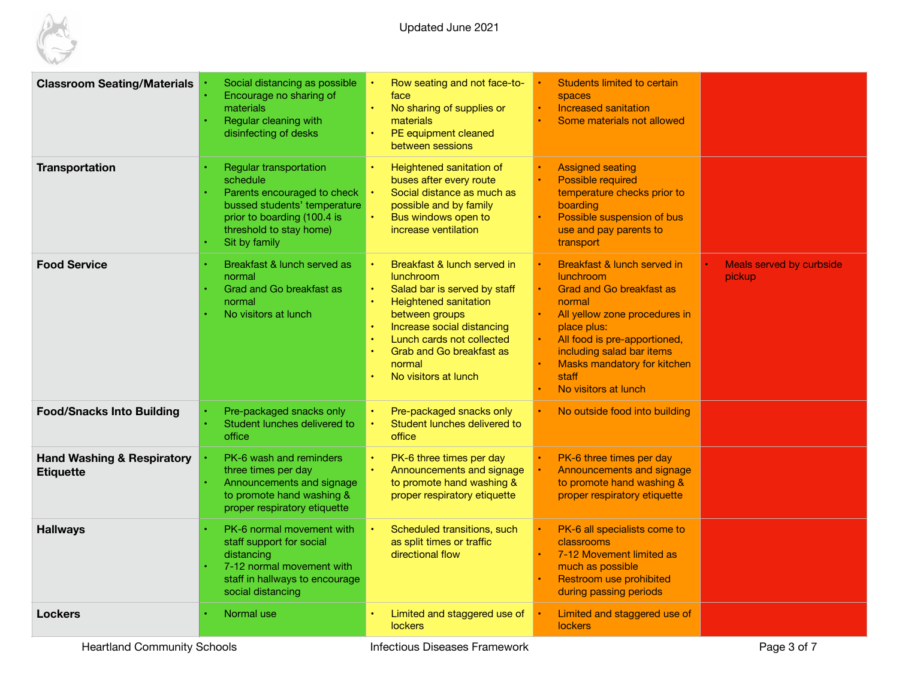

Updated June 2021

| <b>Classroom Seating/Materials</b>                        | Social distancing as possible<br>Encourage no sharing of<br>materials<br>Regular cleaning with<br>disinfecting of desks                                                      | Row seating and not face-to-<br>face<br>No sharing of supplies or<br>materials<br>PE equipment cleaned<br>between sessions                                                                                                                                                                                                  | <b>Students limited to certain</b><br>spaces<br>Increased sanitation<br>Some materials not allowed                                                                                                                                                                 |                                           |
|-----------------------------------------------------------|------------------------------------------------------------------------------------------------------------------------------------------------------------------------------|-----------------------------------------------------------------------------------------------------------------------------------------------------------------------------------------------------------------------------------------------------------------------------------------------------------------------------|--------------------------------------------------------------------------------------------------------------------------------------------------------------------------------------------------------------------------------------------------------------------|-------------------------------------------|
| <b>Transportation</b>                                     | Regular transportation<br>schedule<br>Parents encouraged to check<br>bussed students' temperature<br>prior to boarding (100.4 is<br>threshold to stay home)<br>Sit by family | Heightened sanitation of<br>$\bullet$<br>buses after every route<br>Social distance as much as<br>possible and by family<br>Bus windows open to<br>increase ventilation                                                                                                                                                     | <b>Assigned seating</b><br><b>Possible required</b><br>temperature checks prior to<br>boarding<br>Possible suspension of bus<br>use and pay parents to<br>transport                                                                                                |                                           |
| <b>Food Service</b>                                       | Breakfast & lunch served as<br>normal<br>Grad and Go breakfast as<br>normal<br>No visitors at lunch                                                                          | Breakfast & lunch served in<br>lunchroom<br>$\bullet$<br>Salad bar is served by staff<br><b>Heightened sanitation</b><br>$\bullet$<br>between groups<br>Increase social distancing<br>$\bullet$<br>Lunch cards not collected<br>$\bullet$<br><b>Grab and Go breakfast as</b><br>$\bullet$<br>normal<br>No visitors at lunch | Breakfast & lunch served in<br>lunchroom<br><b>Grad and Go breakfast as</b><br>normal<br>All yellow zone procedures in<br>place plus:<br>All food is pre-apportioned,<br>including salad bar items<br>Masks mandatory for kitchen<br>staff<br>No visitors at lunch | Meals served by curbside<br><b>pickup</b> |
| <b>Food/Snacks Into Building</b>                          | Pre-packaged snacks only<br>Student lunches delivered to<br>office                                                                                                           | Pre-packaged snacks only<br>$\bullet$<br>Student lunches delivered to<br>office                                                                                                                                                                                                                                             | No outside food into building                                                                                                                                                                                                                                      |                                           |
| <b>Hand Washing &amp; Respiratory</b><br><b>Etiquette</b> | PK-6 wash and reminders<br>three times per day<br>Announcements and signage<br>to promote hand washing &<br>proper respiratory etiquette                                     | PK-6 three times per day<br>$\bullet$<br>Announcements and signage<br>$\bullet$<br>to promote hand washing &<br>proper respiratory etiquette                                                                                                                                                                                | PK-6 three times per day<br>Announcements and signage<br>to promote hand washing &<br>proper respiratory etiquette                                                                                                                                                 |                                           |
| <b>Hallways</b>                                           | PK-6 normal movement with<br>staff support for social<br>distancing<br>7-12 normal movement with<br>staff in hallways to encourage<br>social distancing                      | Scheduled transitions, such<br>as split times or traffic<br>directional flow                                                                                                                                                                                                                                                | PK-6 all specialists come to<br>classrooms<br>7-12 Movement limited as<br>much as possible<br>Restroom use prohibited<br>during passing periods                                                                                                                    |                                           |
| <b>Lockers</b>                                            | Normal use                                                                                                                                                                   | Limited and staggered use of<br>lockers                                                                                                                                                                                                                                                                                     | Limited and staggered use of<br><b>lockers</b>                                                                                                                                                                                                                     |                                           |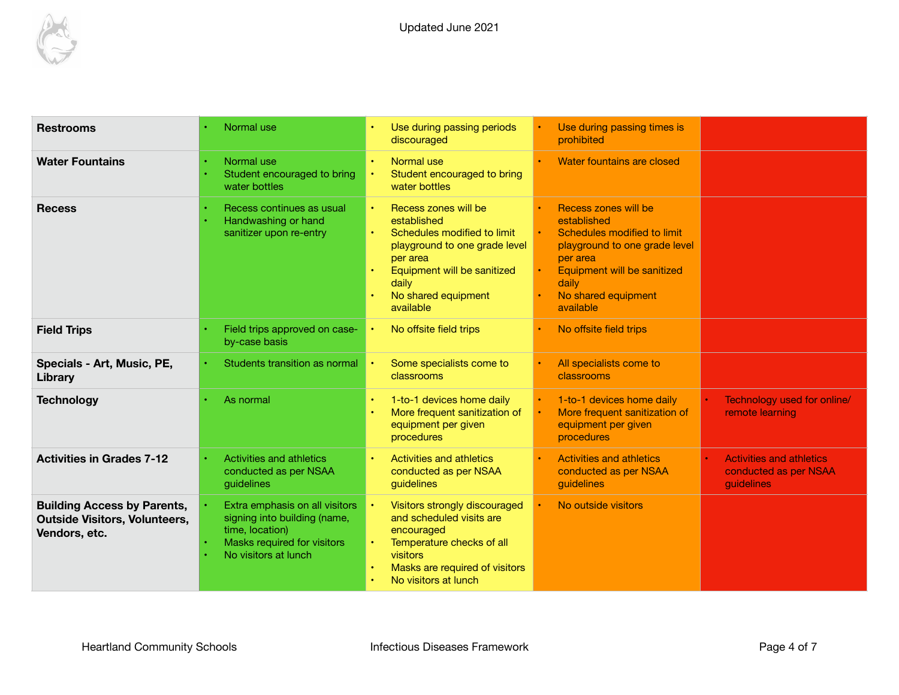

| <b>Restrooms</b>                                                                            | Normal use                                                                                                                               | Use during passing periods<br>discouraged                                                                                                                                                            | Use during passing times is<br>prohibited                                                                                                                                                   |                                                                        |
|---------------------------------------------------------------------------------------------|------------------------------------------------------------------------------------------------------------------------------------------|------------------------------------------------------------------------------------------------------------------------------------------------------------------------------------------------------|---------------------------------------------------------------------------------------------------------------------------------------------------------------------------------------------|------------------------------------------------------------------------|
| <b>Water Fountains</b>                                                                      | Normal use<br>Student encouraged to bring<br>water bottles                                                                               | Normal use<br>Student encouraged to bring<br>$\bullet$<br>water bottles                                                                                                                              | Water fountains are closed                                                                                                                                                                  |                                                                        |
| <b>Recess</b>                                                                               | Recess continues as usual<br>Handwashing or hand<br>sanitizer upon re-entry                                                              | Recess zones will be<br>established<br>Schedules modified to limit<br>playground to one grade level<br>per area<br>Equipment will be sanitized<br>daily<br>No shared equipment<br>available          | Recess zones will be<br>established<br>Schedules modified to limit<br>playground to one grade level<br>per area<br>Equipment will be sanitized<br>daily<br>No shared equipment<br>available |                                                                        |
| <b>Field Trips</b>                                                                          | Field trips approved on case-<br>by-case basis                                                                                           | No offsite field trips                                                                                                                                                                               | No offsite field trips                                                                                                                                                                      |                                                                        |
| Specials - Art, Music, PE,<br>Library                                                       | Students transition as normal                                                                                                            | Some specialists come to<br>classrooms                                                                                                                                                               | All specialists come to<br>classrooms                                                                                                                                                       |                                                                        |
| <b>Technology</b>                                                                           | As normal                                                                                                                                | 1-to-1 devices home daily<br>$\bullet$<br>More frequent sanitization of<br>equipment per given<br>procedures                                                                                         | 1-to-1 devices home daily<br>More frequent sanitization of<br>equipment per given<br>procedures                                                                                             | Technology used for online/<br>remote learning                         |
| <b>Activities in Grades 7-12</b>                                                            | Activities and athletics<br>conducted as per NSAA<br>guidelines                                                                          | Activities and athletics<br>conducted as per NSAA<br>guidelines                                                                                                                                      | <b>Activities and athletics</b><br>conducted as per NSAA<br>guidelines                                                                                                                      | <b>Activities and athletics</b><br>conducted as per NSAA<br>guidelines |
| <b>Building Access by Parents,</b><br><b>Outside Visitors, Volunteers,</b><br>Vendors, etc. | Extra emphasis on all visitors<br>signing into building (name,<br>time, location)<br>Masks required for visitors<br>No visitors at lunch | Visitors strongly discouraged<br>and scheduled visits are<br>encouraged<br>Temperature checks of all<br>visitors<br>Masks are required of visitors<br>$\bullet$<br>No visitors at lunch<br>$\bullet$ | No outside visitors                                                                                                                                                                         |                                                                        |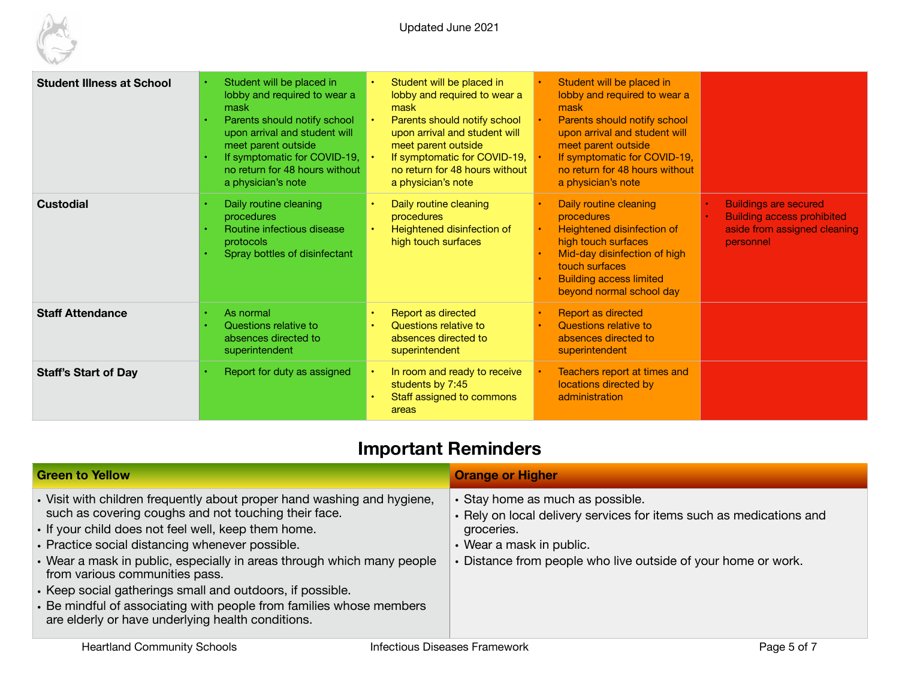

| <b>Student Illness at School</b> | Student will be placed in<br>lobby and required to wear a<br>mask<br>Parents should notify school<br>upon arrival and student will<br>meet parent outside<br>If symptomatic for COVID-19, $\cdot$<br>no return for 48 hours without<br>a physician's note | Student will be placed in<br>$\bullet$<br>lobby and required to wear a<br>mask<br>Parents should notify school<br>upon arrival and student will<br>meet parent outside<br>If symptomatic for COVID-19,<br>no return for 48 hours without<br>a physician's note | Student will be placed in<br>lobby and required to wear a<br>mask<br>Parents should notify school<br>upon arrival and student will<br>meet parent outside<br>If symptomatic for COVID-19,<br>no return for 48 hours without<br>a physician's note |                                                                                                                             |
|----------------------------------|-----------------------------------------------------------------------------------------------------------------------------------------------------------------------------------------------------------------------------------------------------------|----------------------------------------------------------------------------------------------------------------------------------------------------------------------------------------------------------------------------------------------------------------|---------------------------------------------------------------------------------------------------------------------------------------------------------------------------------------------------------------------------------------------------|-----------------------------------------------------------------------------------------------------------------------------|
| <b>Custodial</b>                 | Daily routine cleaning<br>procedures<br>Routine infectious disease<br>protocols<br>Spray bottles of disinfectant                                                                                                                                          | Daily routine cleaning<br>$\bullet$<br>procedures<br>Heightened disinfection of<br>$\bullet$<br>high touch surfaces                                                                                                                                            | Daily routine cleaning<br>procedures<br>Heightened disinfection of<br>high touch surfaces<br>Mid-day disinfection of high<br>touch surfaces<br><b>Building access limited</b><br>beyond normal school day                                         | <b>Buildings are secured</b><br><b>Building access prohibited</b><br>$\bullet$<br>aside from assigned cleaning<br>personnel |
| <b>Staff Attendance</b>          | As normal<br>Questions relative to<br>absences directed to<br>superintendent                                                                                                                                                                              | Report as directed<br>$\bullet$<br>Questions relative to<br>$\bullet$<br>absences directed to<br>superintendent                                                                                                                                                | <b>Report as directed</b><br>Questions relative to<br>absences directed to<br>superintendent                                                                                                                                                      |                                                                                                                             |
| <b>Staff's Start of Day</b>      | Report for duty as assigned                                                                                                                                                                                                                               | In room and ready to receive<br>$\bullet$<br>students by 7:45<br>Staff assigned to commons<br>areas                                                                                                                                                            | Teachers report at times and<br>locations directed by<br>administration                                                                                                                                                                           |                                                                                                                             |

### **Important Reminders**

| <b>Green to Yellow</b>                                                                                                                                                                                                                                                                                                                                                                                                                                                                                                                         | <b>Orange or Higher</b>                                                                                                                                                                                            |
|------------------------------------------------------------------------------------------------------------------------------------------------------------------------------------------------------------------------------------------------------------------------------------------------------------------------------------------------------------------------------------------------------------------------------------------------------------------------------------------------------------------------------------------------|--------------------------------------------------------------------------------------------------------------------------------------------------------------------------------------------------------------------|
| . Visit with children frequently about proper hand washing and hygiene,<br>such as covering coughs and not touching their face.<br>• If your child does not feel well, keep them home.<br>• Practice social distancing whenever possible.<br>• Wear a mask in public, especially in areas through which many people<br>from various communities pass.<br>• Keep social gatherings small and outdoors, if possible.<br>• Be mindful of associating with people from families whose members<br>are elderly or have underlying health conditions. | • Stay home as much as possible.<br>• Rely on local delivery services for items such as medications and<br>groceries.<br>• Wear a mask in public.<br>• Distance from people who live outside of your home or work. |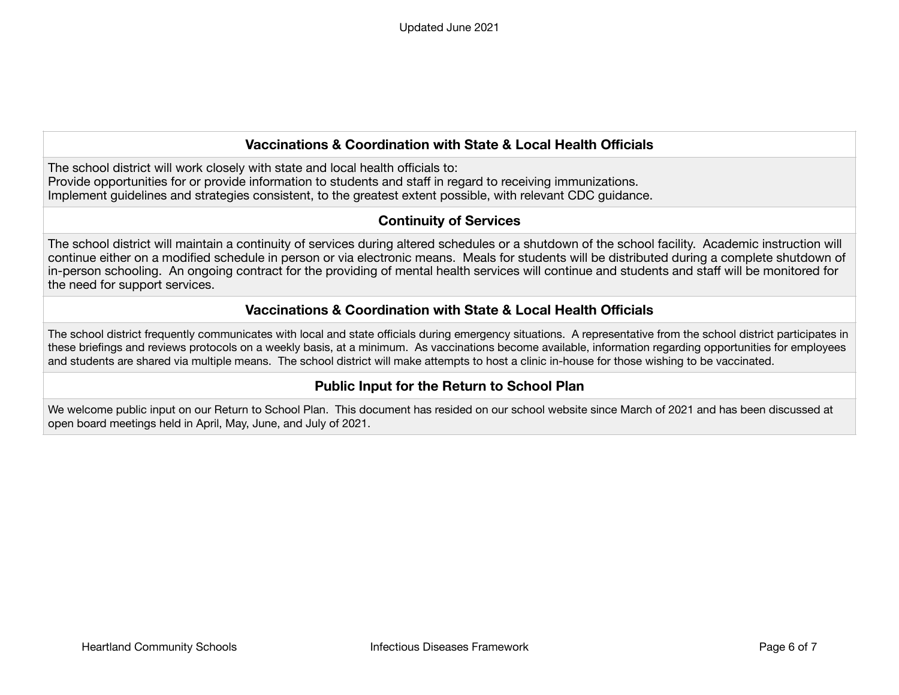#### **Vaccinations & Coordination with State & Local Health Officials**

The school district will work closely with state and local health officials to: Provide opportunities for or provide information to students and staff in regard to receiving immunizations. Implement guidelines and strategies consistent, to the greatest extent possible, with relevant CDC guidance.

#### **Continuity of Services**

The school district will maintain a continuity of services during altered schedules or a shutdown of the school facility. Academic instruction will continue either on a modified schedule in person or via electronic means. Meals for students will be distributed during a complete shutdown of in-person schooling. An ongoing contract for the providing of mental health services will continue and students and staff will be monitored for the need for support services.

#### **Vaccinations & Coordination with State & Local Health Officials**

The school district frequently communicates with local and state officials during emergency situations. A representative from the school district participates in these briefings and reviews protocols on a weekly basis, at a minimum. As vaccinations become available, information regarding opportunities for employees and students are shared via multiple means. The school district will make attempts to host a clinic in-house for those wishing to be vaccinated.

#### **Public Input for the Return to School Plan**

We welcome public input on our Return to School Plan. This document has resided on our school website since March of 2021 and has been discussed at open board meetings held in April, May, June, and July of 2021.